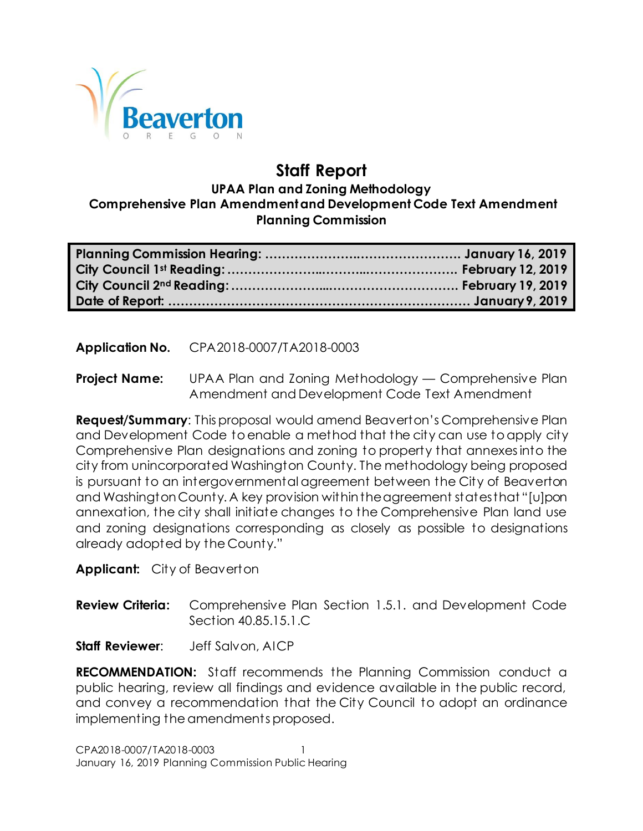

# **Staff Report**

#### **UPAA Plan and Zoning Methodology Comprehensive Plan Amendment and Development Code Text Amendment Planning Commission**

**Application No.** CPA2018-0007/TA2018-0003

**Project Name:** UPAA Plan and Zoning Methodology — Comprehensive Plan Amendment and Development Code Text Amendment

**Request/Summary**: This proposal would amend Beaverton's Comprehensive Plan and Development Code to enable a method that the city can use to apply city Comprehensive Plan designations and zoning to property that annexes into the city from unincorporated Washington County. The methodology being proposed is pursuant to an intergovernmental agreement between the City of Beaverton and Washington County. A key provision within the agreement states that "[u]pon annexation, the city shall initiate changes to the Comprehensive Plan land use and zoning designations corresponding as closely as possible to designations already adopted by the County."

**Applicant:** City of Beaverton

**Review Criteria:** Comprehensive Plan Section 1.5.1. and Development Code Section 40.85.15.1.C

**Staff Reviewer**: Jeff Salvon, AICP

**RECOMMENDATION:** Staff recommends the Planning Commission conduct a public hearing, review all findings and evidence available in the public record, and convey a recommendation that the City Council to adopt an ordinance implementing the amendments proposed.

CPA2018-0007/TA2018-0003 1 January 16, 2019 Planning Commission Public Hearing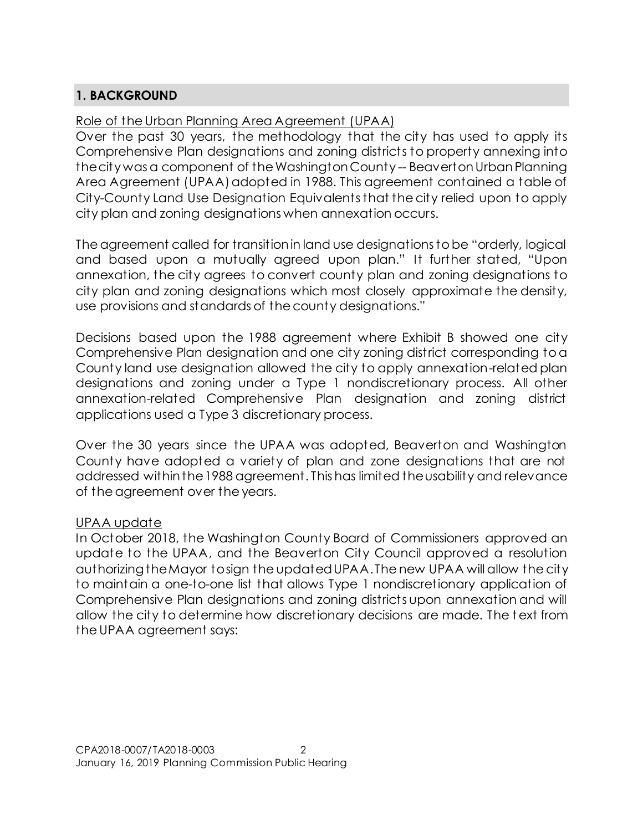# **1. BACKGROUND**

# Role of the Urban Planning Area Agreement (UPAA)

Over the past 30 years, the methodology that the city has used to apply its Comprehensive Plan designations and zoning districts to property annexing into the city was a component of theWashington County -- BeavertonUrban Planning Area Agreement (UPAA) adopted in 1988. This agreement contained a table of City-County Land Use Designation Equivalents that the city relied upon to apply city plan and zoning designations when annexation occurs.

The agreement called for transition in land use designations to be "orderly, logical and based upon a mutually agreed upon plan." It further stated, "Upon annexation, the city agrees to convert county plan and zoning designations to city plan and zoning designations which most closely approximate the density, use provisions and standards of the county designations."

Decisions based upon the 1988 agreement where Exhibit B showed one city Comprehensive Plan designation and one city zoning district corresponding to a County land use designation allowed the city to apply annexation-related plan designations and zoning under a Type 1 nondiscretionary process. All other annexation-related Comprehensive Plan designation and zoning district applications used a Type 3 discretionary process.

Over the 30 years since the UPAA was adopted, Beaverton and Washington County have adopted a variety of plan and zone designations that are not addressed within the 1988 agreement. This has limited the usability and relevance of the agreement over the years.

# UPAA update

In October 2018, the Washington County Board of Commissioners approved an update to the UPAA, and the Beaverton City Council approved a resolution authorizing the Mayor to sign the updated UPAA. The new UPAA will allow the city to maintain a one-to-one list that allows Type 1 nondiscretionary application of Comprehensive Plan designations and zoning districts upon annexation and will allow the city to determine how discretionary decisions are made. The t ext from the UPAA agreement says: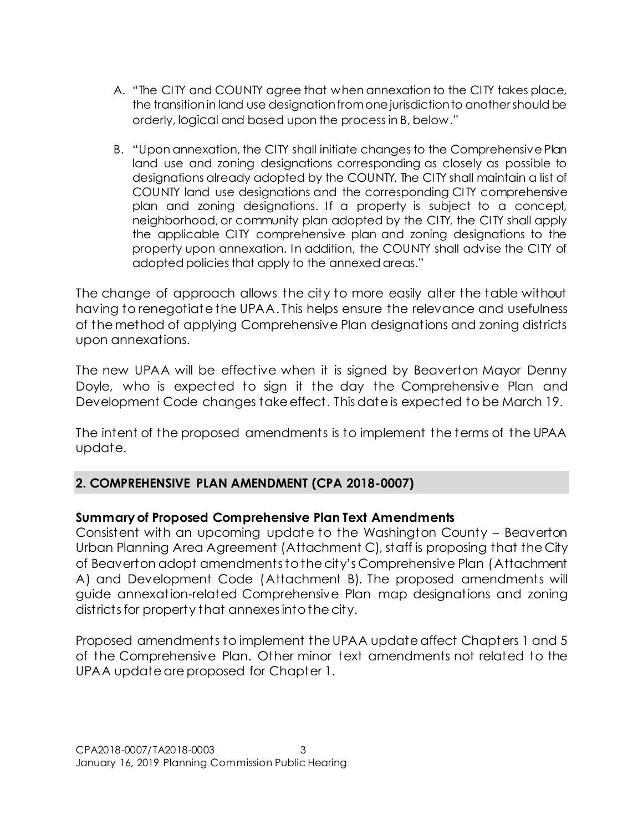- A. "The CITY and COUNTY agree that when annexation to the CITY takes place, the transition in land use designation from one jurisdiction to another should be orderly, logical and based upon the process in B, below."
- B. "Upon annexation, the CITY shall initiate changes to the Comprehensive Plan land use and zoning designations corresponding as closely as possible to designations already adopted by the COUNTY. The CITY shall maintain a list of COUNTY land use designations and the corresponding CITY comprehensive plan and zoning designations. If a property is subject to a concept, neighborhood, or community plan adopted by the CITY, the CITY shall apply the applicable CITY comprehensive plan and zoning designations to the property upon annexation. In addition, the COUNTY shall advise the CITY of adopted policies that apply to the annexed areas."

The change of approach allows the city to more easily alter the table without having to renegotiate the UPAA. This helps ensure the relevance and usefulness of the method of applying Comprehensive Plan designations and zoning districts upon annexations.

The new UPAA will be effective when it is signed by Beaverton Mayor Denny Doyle, who is expected to sign it the day the Comprehensive Plan and Development Code changes take effect. This date is expected to be March 19.

The intent of the proposed amendments is to implement the terms of the UPAA update.

# **2. COMPREHENSIVE PLAN AMENDMENT (CPA 2018-0007)**

# **Summary of Proposed Comprehensive Plan Text Amendments**

Consistent with an upcoming update to the Washington County – Beaverton Urban Planning Area Agreement (Attachment C), staff is proposing that the City of Beaverton adopt amendments to the city's Comprehensive Plan (Attachment A) and Development Code (Attachment B). The proposed amendments will guide annexation-related Comprehensive Plan map designations and zoning districtsfor property that annexes into the city.

Proposed amendments to implement the UPAA update affect Chapters 1 and 5 of the Comprehensive Plan. Other minor text amendments not related to the UPAA update are proposed for Chapter 1.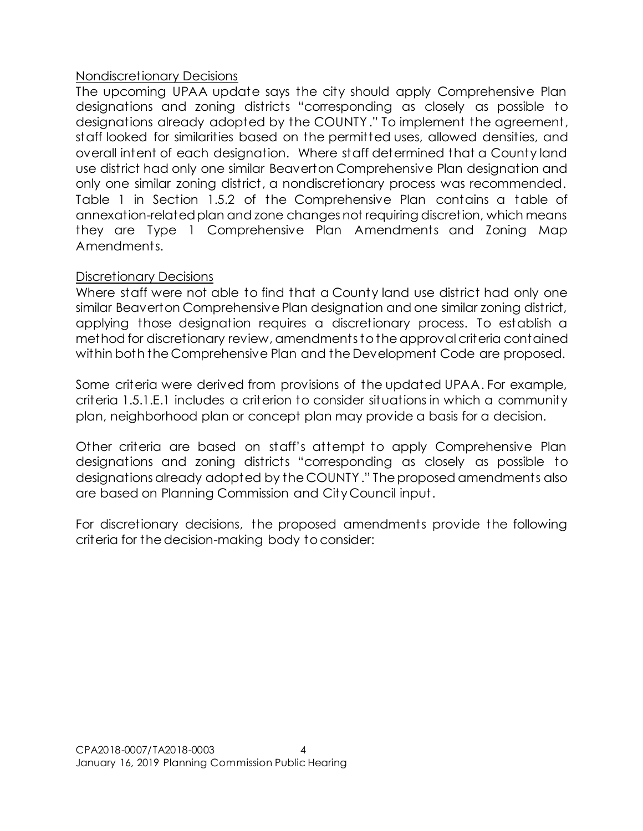# Nondiscretionary Decisions

The upcoming UPAA update says the city should apply Comprehensive Plan designations and zoning districts "corresponding as closely as possible to designations already adopted by the COUNTY." To implement the agreement, staff looked for similarities based on the permitted uses, allowed densities, and overall intent of each designation. Where staff determined that a County land use district had only one similar Beaverton Comprehensive Plan designation and only one similar zoning district, a nondiscretionary process was recommended. Table 1 in Section 1.5.2 of the Comprehensive Plan contains a table of annexation-related plan and zone changes not requiring discretion, which means they are Type 1 Comprehensive Plan Amendments and Zoning Map Amendments.

#### Discretionary Decisions

Where staff were not able to find that a County land use district had only one similar Beaverton Comprehensive Plan designation and one similar zoning district, applying those designation requires a discretionary process. To establish a method for discretionary review, amendments to the approval criteria contained within both the Comprehensive Plan and the Development Code are proposed.

Some criteria were derived from provisions of the updated UPAA. For example, criteria 1.5.1.E.1 includes a criterion to consider situations in which a community plan, neighborhood plan or concept plan may provide a basis for a decision.

Other criteria are based on staff's attempt to apply Comprehensive Plan designations and zoning districts "corresponding as closely as possible to designations already adopted by the COUNTY." The proposed amendments also are based on Planning Commission and City Council input.

For discretionary decisions, the proposed amendments provide the following criteria for the decision-making body to consider: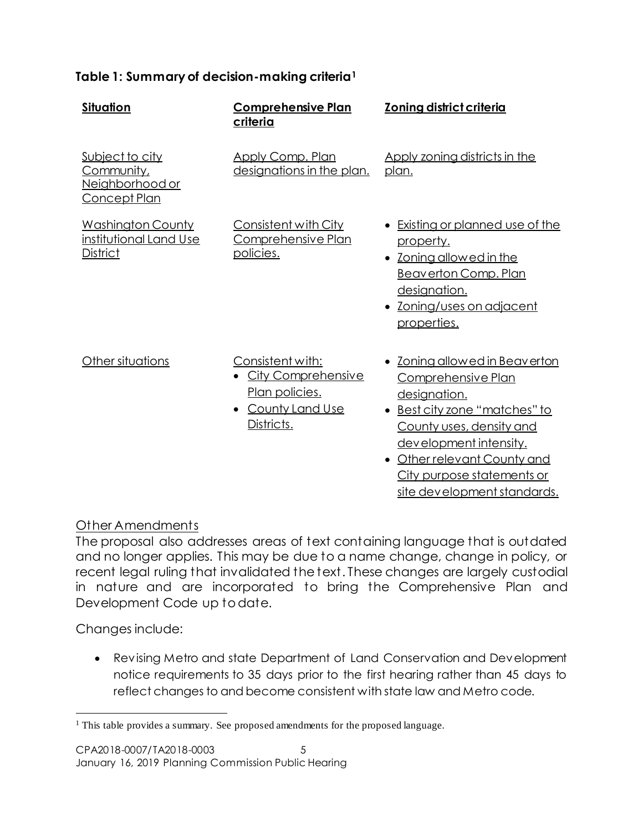# **Table 1: Summary of decision-making criteria<sup>1</sup>**

| <b>Situation</b>                                                               | <b>Comprehensive Plan</b><br>criteria                                                                                | <b>Zoning district criteria</b>                                                                                                                                                                                                                        |
|--------------------------------------------------------------------------------|----------------------------------------------------------------------------------------------------------------------|--------------------------------------------------------------------------------------------------------------------------------------------------------------------------------------------------------------------------------------------------------|
| Subject to city<br><u>Community,</u><br>Neighborhood or<br><u>Concept Plan</u> | <b>Apply Comp. Plan</b><br>designations in the plan.                                                                 | Apply zoning districts in the<br>plan.                                                                                                                                                                                                                 |
| <b>Washington County</b><br>institutional Land Use<br>District                 | Consistent with City<br>Comprehensive Plan<br>policies.                                                              | • Existing or planned use of the<br>property.<br>• Zoning allowed in the<br><b>Beaverton Comp. Plan</b><br>designation.<br>• Zoning/uses on adjacent<br>properties.                                                                                    |
| Other situations                                                               | Consistent with:<br><b>City Comprehensive</b><br><u>Plan policies.</u><br>County Land Use<br>$\bullet$<br>Districts. | • Zoning allowed in Beaverton<br>Comprehensive Plan<br>designation.<br>• Best city zone "matches" to<br>County uses, density and<br>development intensity.<br>• Other relevant County and<br>City purpose statements or<br>site development standards. |

# Other Amendments

The proposal also addresses areas of text containing language that is outdated and no longer applies. This may be due to a name change, change in policy, or recent legal ruling that invalidated the text. These changes are largely custodial in nature and are incorporated to bring the Comprehensive Plan and Development Code up to date.

Changes include:

l

 Revising Metro and state Department of Land Conservation and Development notice requirements to 35 days prior to the first hearing rather than 45 days to reflect changes to and become consistent with state law and Metro code.

<sup>&</sup>lt;sup>1</sup> This table provides a summary. See proposed amendments for the proposed language.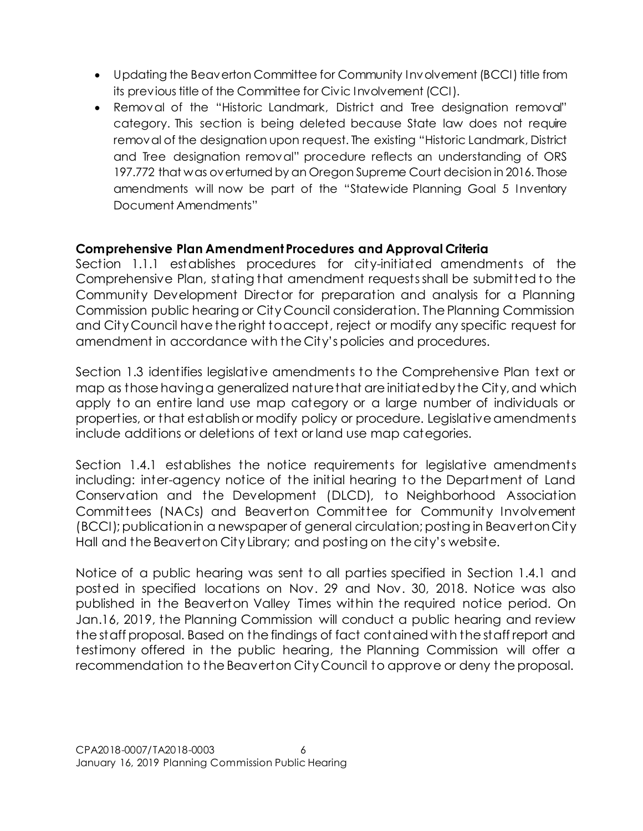- Updating the Beaverton Committee for Community Involvement (BCCI) title from its previous title of the Committee for Civic Involvement (CCI).
- Removal of the "Historic Landmark, District and Tree designation removal" category. This section is being deleted because State law does not require removal of the designation upon request. The existing "Historic Landmark, District and Tree designation removal" procedure reflects an understanding of ORS 197.772 that was overturned by an Oregon Supreme Court decision in 2016. Those amendments will now be part of the "Statewide Planning Goal 5 Inventory Document Amendments"

# **Comprehensive Plan Amendment Procedures and Approval Criteria**

Section 1.1.1 establishes procedures for city-initiated amendments of the Comprehensive Plan, stating that amendment requests shall be submitted to the Community Development Director for preparation and analysis for a Planning Commission public hearing or City Council consideration. The Planning Commission and City Council have the right to accept, reject or modify any specific request for amendment in accordance with the City's policies and procedures.

Section 1.3 identifies legislative amendments to the Comprehensive Plan text or map as those having a generalized nature that are initiated by the City, and which apply to an entire land use map category or a large number of individuals or properties, or that establish or modify policy or procedure. Legislative amendments include additions or deletions of text or land use map categories.

Section 1.4.1 establishes the notice requirements for legislative amendments including: inter-agency notice of the initial hearing to the Department of Land Conservation and the Development (DLCD), to Neighborhood Association Committees (NACs) and Beaverton Committee for Community Involvement (BCCI); publication in a newspaper of general circulation; posting in Beaverton City Hall and the Beaverton City Library; and posting on the city's website.

Notice of a public hearing was sent to all parties specified in Section 1.4.1 and posted in specified locations on Nov. 29 and Nov. 30, 2018. Notice was also published in the Beaverton Valley Times within the required notice period. On Jan.16, 2019, the Planning Commission will conduct a public hearing and review the staff proposal. Based on the findings of fact contained with the staff report and testimony offered in the public hearing, the Planning Commission will offer a recommendation to the Beaverton City Council to approve or deny the proposal.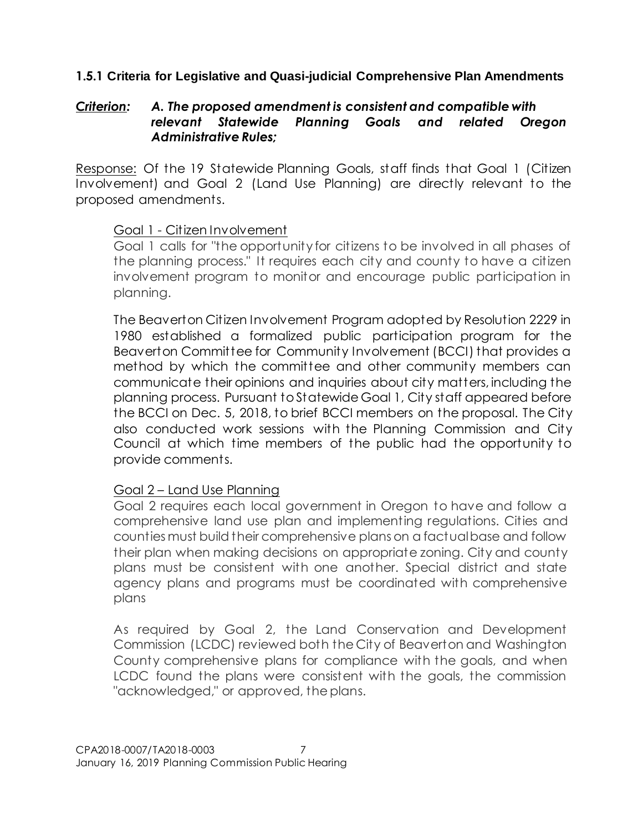# **1.5.1 Criteria for Legislative and Quasi-judicial Comprehensive Plan Amendments**

# *Criterion: A. The proposed amendment is consistent and compatible with relevant Statewide Planning Goals and related Oregon Administrative Rules;*

Response: Of the 19 Statewide Planning Goals, staff finds that Goal 1 (Citizen Involvement) and Goal 2 (Land Use Planning) are directly relevant to the proposed amendments.

#### Goal 1 - Citizen Involvement

Goal 1 calls for "the opportunity for citizens to be involved in all phases of the planning process." It requires each city and county to have a citizen involvement program to monitor and encourage public participation in planning.

The Beaverton Citizen Involvement Program adopted by Resolution 2229 in 1980 established a formalized public participation program for the Beaverton Committee for Community Involvement (BCCI) that provides a method by which the committee and other community members can communicate their opinions and inquiries about city matters, including the planning process. Pursuant to Statewide Goal 1, City staff appeared before the BCCI on Dec. 5, 2018, to brief BCCI members on the proposal. The City also conducted work sessions with the Planning Commission and City Council at which time members of the public had the opportunity to provide comments.

# Goal 2 – Land Use Planning

Goal 2 requires each local government in Oregon to have and follow a comprehensive land use plan and implementing regulations. Cities and counties must build their comprehensive plans on a factual base and follow their plan when making decisions on appropriate zoning. City and county plans must be consistent with one another. Special district and state agency plans and programs must be coordinated with comprehensive plans

As required by Goal 2, the Land Conservation and Development Commission (LCDC) reviewed both the City of Beaverton and Washington County comprehensive plans for compliance with the goals, and when LCDC found the plans were consistent with the goals, the commission "acknowledged," or approved, the plans.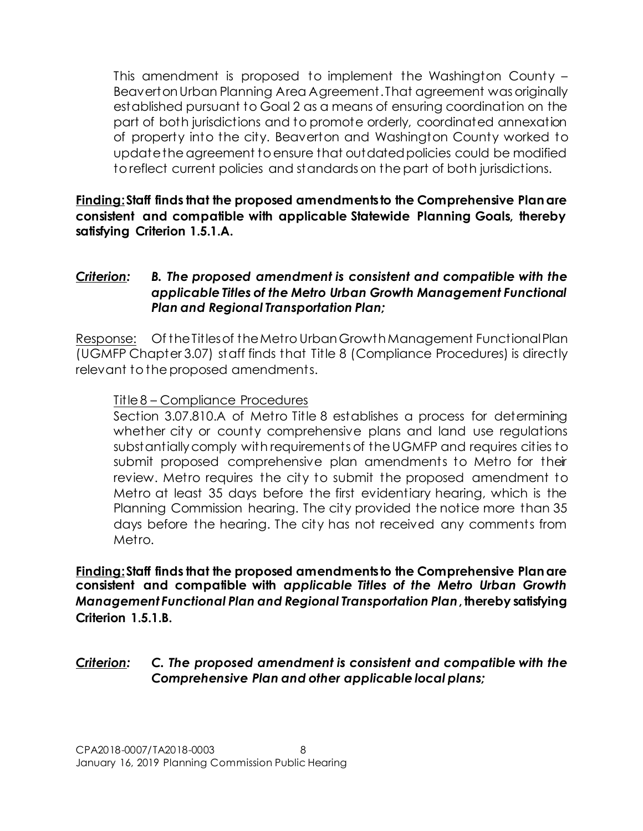This amendment is proposed to implement the Washington County – Beaverton Urban Planning Area Agreement. That agreement was originally established pursuant to Goal 2 as a means of ensuring coordination on the part of both jurisdictions and to promote orderly, coordinated annexation of property into the city. Beaverton and Washington County worked to update the agreement to ensure that outdated policies could be modified to reflect current policies and standards on the part of both jurisdictions.

**Finding:Staff finds that the proposed amendments to the Comprehensive Plan are consistent and compatible with applicable Statewide Planning Goals, thereby satisfying Criterion 1.5.1.A.**

# *Criterion: B. The proposed amendment is consistent and compatible with the applicable Titles of the Metro Urban Growth Management Functional Plan and Regional Transportation Plan;*

Response: Of the Titles of the Metro Urban Growth Management Functional Plan (UGMFP Chapter 3.07) staff finds that Title 8 (Compliance Procedures) is directly relevant to the proposed amendments.

# Title 8 – Compliance Procedures

Section 3.07.810.A of Metro Title 8 establishes a process for determining whether city or county comprehensive plans and land use regulations substantially comply with requirements of the UGMFP and requires cities to submit proposed comprehensive plan amendments to Metro for their review. Metro requires the city to submit the proposed amendment to Metro at least 35 days before the first evidentiary hearing, which is the Planning Commission hearing. The city provided the notice more than 35 days before the hearing. The city has not received any comments from Metro.

**Finding:Staff finds that the proposed amendments to the Comprehensive Plan are consistent and compatible with** *applicable Titles of the Metro Urban Growth Management Functional Plan and Regional Transportation Plan***, thereby satisfying Criterion 1.5.1.B.**

# *Criterion: C. The proposed amendment is consistent and compatible with the Comprehensive Plan and other applicable local plans;*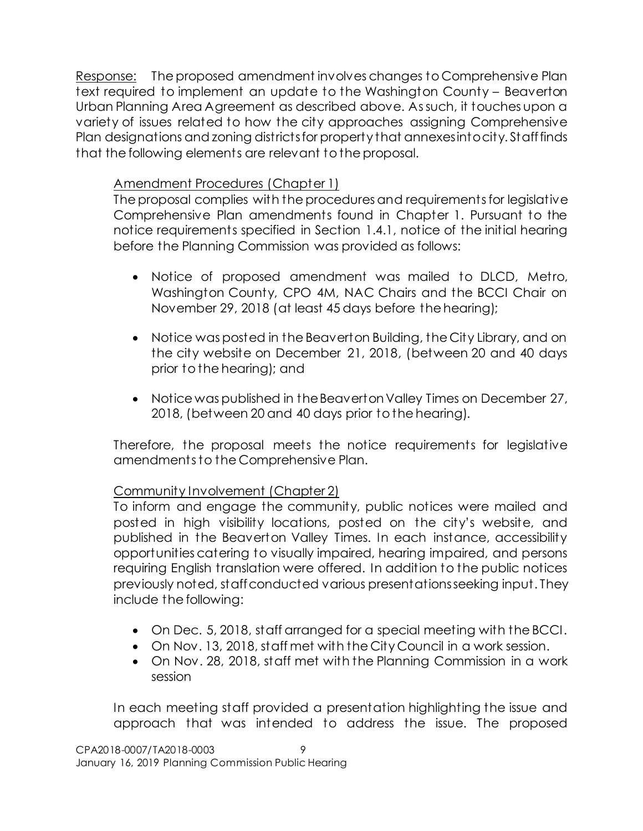Response: The proposed amendment involves changes to Comprehensive Plan text required to implement an update to the Washington County – Beaverton Urban Planning Area Agreement as described above. As such, it touches upon a variety of issues related to how the city approaches assigning Comprehensive Plan designations and zoning districtsfor property that annexes into city. Staff finds that the following elements are relevant to the proposal.

# Amendment Procedures (Chapter 1)

The proposal complies with the procedures and requirements for legislative Comprehensive Plan amendments found in Chapter 1. Pursuant to the notice requirements specified in Section 1.4.1, notice of the initial hearing before the Planning Commission was provided as follows:

- Notice of proposed amendment was mailed to DLCD, Metro, Washington County, CPO 4M, NAC Chairs and the BCCI Chair on November 29, 2018 (at least 45 days before the hearing);
- Notice was posted in the Beaverton Building, the City Library, and on the city website on December 21, 2018, (between 20 and 40 days prior to the hearing); and
- Notice was published in the Beaverton Valley Times on December 27, 2018, (between 20 and 40 days prior to the hearing).

Therefore, the proposal meets the notice requirements for legislative amendments to the Comprehensive Plan.

# Community Involvement (Chapter 2)

To inform and engage the community, public notices were mailed and posted in high visibility locations, posted on the city's website, and published in the Beaverton Valley Times. In each instance, accessibility opportunities catering to visually impaired, hearing impaired, and persons requiring English translation were offered. In addition to the public notices previously noted, staff conducted various presentationsseeking input. They include the following:

- On Dec. 5, 2018, staff arranged for a special meeting with the BCCI.
- On Nov. 13, 2018, staff met with the City Council in a work session.
- On Nov. 28, 2018, staff met with the Planning Commission in a work session

In each meeting staff provided a presentation highlighting the issue and approach that was intended to address the issue. The proposed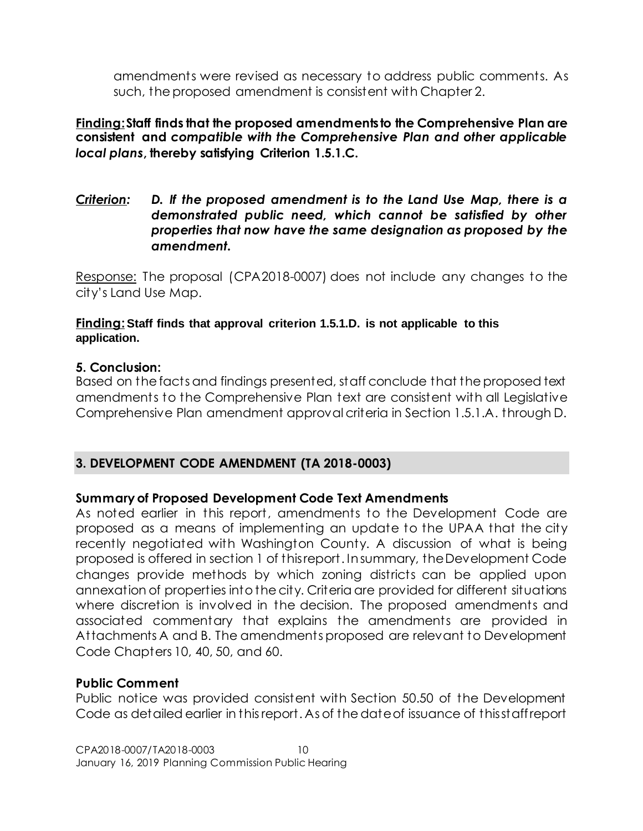amendments were revised as necessary to address public comments. As such, the proposed amendment is consistent with Chapter 2.

### **Finding:Staff finds that the proposed amendments to the Comprehensive Plan are consistent and** *compatible with the Comprehensive Plan and other applicable local plans***, thereby satisfying Criterion 1.5.1.C.**

*Criterion: D. If the proposed amendment is to the Land Use Map, there is a demonstrated public need, which cannot be satisfied by other properties that now have the same designation as proposed by the amendment.*

Response: The proposal (CPA2018-0007) does not include any changes to the city's Land Use Map.

#### **Finding: Staff finds that approval criterion 1.5.1.D. is not applicable to this application.**

#### **5. Conclusion:**

Based on the facts and findings presented, staff conclude that the proposed text amendments to the Comprehensive Plan text are consistent with all Legislative Comprehensive Plan amendment approval criteria in Section 1.5.1.A. through D.

# **3. DEVELOPMENT CODE AMENDMENT (TA 2018-0003)**

# **Summary of Proposed Development Code Text Amendments**

As noted earlier in this report, amendments to the Development Code are proposed as a means of implementing an update to the UPAA that the city recently negotiated with Washington County. A discussion of what is being proposed is offered in section 1 of this report. In summary, the Development Code changes provide methods by which zoning districts can be applied upon annexation of properties into the city. Criteria are provided for different situations where discretion is involved in the decision. The proposed amendments and associated commentary that explains the amendments are provided in Attachments A and B. The amendments proposed are relevant to Development Code Chapters 10, 40, 50, and 60.

#### **Public Comment**

Public notice was provided consistent with Section 50.50 of the Development Code as detailed earlier in this report. As of the date of issuance of this staff report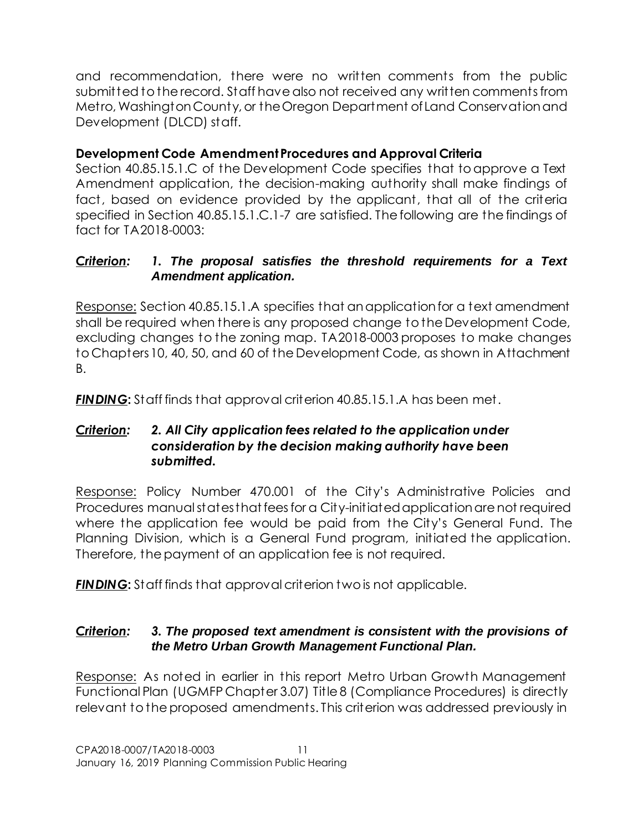and recommendation, there were no written comments from the public submitted to the record. Staff have also not received any written comments from Metro, Washington County, or the Oregon Department of Land Conservation and Development (DLCD) staff.

# **Development Code Amendment Procedures and Approval Criteria**

Section 40.85.15.1.C of the Development Code specifies that to approve a Text Amendment application, the decision-making authority shall make findings of fact, based on evidence provided by the applicant, that all of the criteria specified in Section 40.85.15.1.C.1-7 are satisfied. The following are the findings of fact for TA2018-0003:

# *Criterion: 1. The proposal satisfies the threshold requirements for a Text Amendment application.*

Response: Section 40.85.15.1.A specifies that an application for a text amendment shall be required when there is any proposed change to the Development Code, excluding changes to the zoning map. TA2018-0003 proposes to make changes to Chapters 10, 40, 50, and 60 of the Development Code, as shown in Attachment B.

*FINDING***:** Staff finds that approval criterion 40.85.15.1.A has been met.

# *Criterion: 2. All City application fees related to the application under consideration by the decision making authority have been submitted.*

Response: Policy Number 470.001 of the City's Administrative Policies and Procedures manual states that fees for a City-initiated application are not required where the application fee would be paid from the City's General Fund. The Planning Division, which is a General Fund program, initiated the application. Therefore, the payment of an application fee is not required.

*FINDING***:** Staff finds that approval criterion two is not applicable.

# *Criterion: 3. The proposed text amendment is consistent with the provisions of the Metro Urban Growth Management Functional Plan.*

Response: As noted in earlier in this report Metro Urban Growth Management Functional Plan (UGMFP Chapter 3.07) Title 8 (Compliance Procedures) is directly relevant to the proposed amendments. This criterion was addressed previously in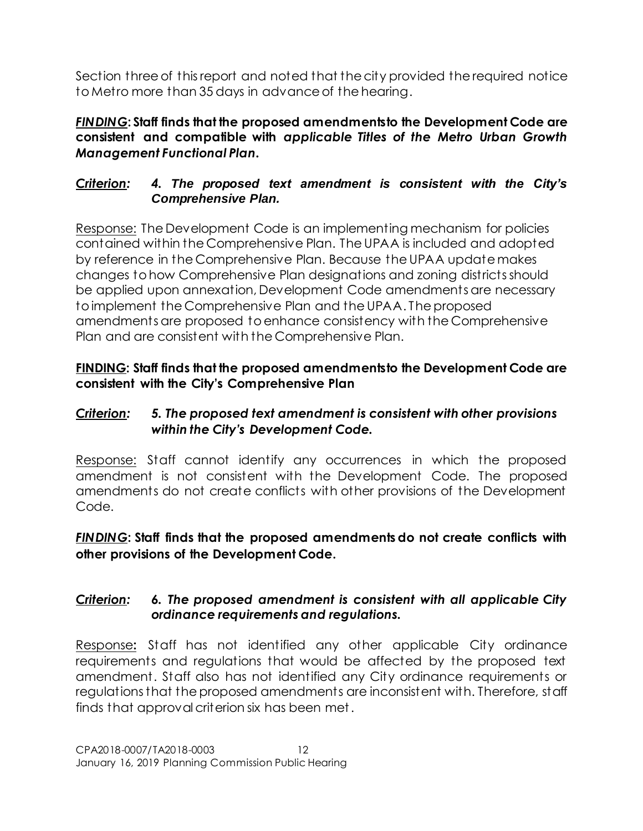Section three of this report and noted that the city provided the required notice to Metro more than 35 days in advance of the hearing.

*FINDING***: Staff finds that the proposed amendments to the Development Code are consistent and compatible with** *applicable Titles of the Metro Urban Growth Management Functional Plan.*

# *Criterion: 4. The proposed text amendment is consistent with the City's Comprehensive Plan.*

Response: The Development Code is an implementing mechanism for policies contained within the Comprehensive Plan. The UPAA is included and adopted by reference in the Comprehensive Plan. Because the UPAA update makes changes to how Comprehensive Plan designations and zoning districts should be applied upon annexation, Development Code amendments are necessary to implement the Comprehensive Plan and the UPAA. The proposed amendments are proposed to enhance consistency with the Comprehensive Plan and are consistent with the Comprehensive Plan.

# **FINDING: Staff finds that the proposed amendments to the Development Code are consistent with the City's Comprehensive Plan**

# *Criterion: 5. The proposed text amendment is consistent with other provisions within the City's Development Code.*

Response: Staff cannot identify any occurrences in which the proposed amendment is not consistent with the Development Code. The proposed amendments do not create conflicts with other provisions of the Development Code.

# *FINDING***: Staff finds that the proposed amendments do not create conflicts with other provisions of the Development Code.**

# *Criterion: 6. The proposed amendment is consistent with all applicable City ordinance requirements and regulations.*

Response**:** Staff has not identified any other applicable City ordinance requirements and regulations that would be affected by the proposed text amendment. Staff also has not identified any City ordinance requirements or regulations that the proposed amendments are inconsistent with. Therefore, staff finds that approval criterion six has been met.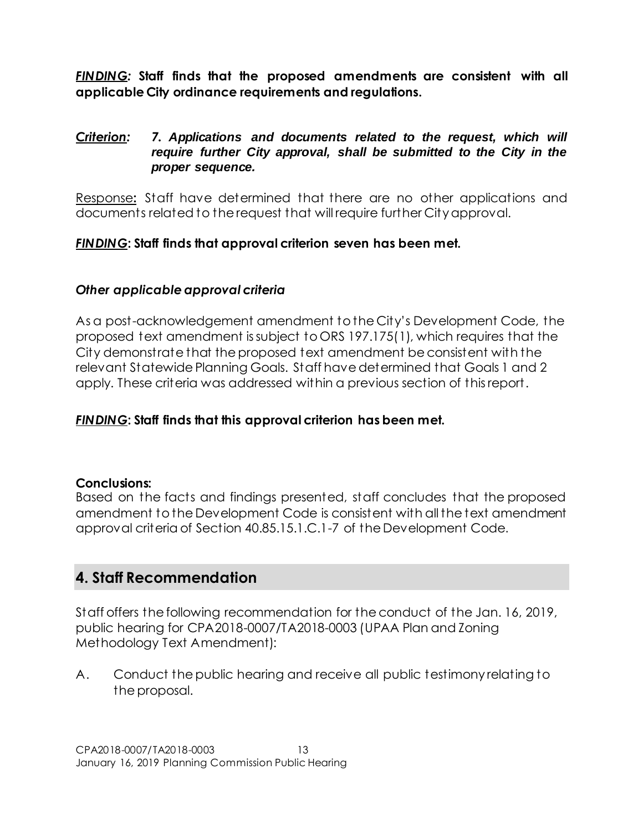*FINDING:* **Staff finds that the proposed amendments are consistent with all applicable City ordinance requirements and regulations.**

# *Criterion: 7. Applications and documents related to the request, which will require further City approval, shall be submitted to the City in the proper sequence.*

Response**:** Staff have determined that there are no other applications and documents related to the request that will require further City approval.

# *FINDING***: Staff finds that approval criterion seven has been met.**

# *Other applicable approval criteria*

As a post-acknowledgement amendment to the City's Development Code, the proposed text amendment is subject to ORS 197.175(1), which requires that the City demonstrate that the proposed text amendment be consistent with the relevant Statewide Planning Goals. Staff have determined that Goals 1 and 2 apply. These criteria was addressed within a previous section of this report.

# *FINDING***: Staff finds that this approval criterion has been met.**

# **Conclusions:**

Based on the facts and findings presented, staff concludes that the proposed amendment to the Development Code is consistent with all the text amendment approval criteria of Section 40.85.15.1.C.1-7 of the Development Code.

# **4. Staff Recommendation**

Staff offers the following recommendation for the conduct of the Jan. 16, 2019, public hearing for CPA2018-0007/TA2018-0003 (UPAA Plan and Zoning Methodology Text Amendment):

A. Conduct the public hearing and receive all public testimony relating to the proposal.